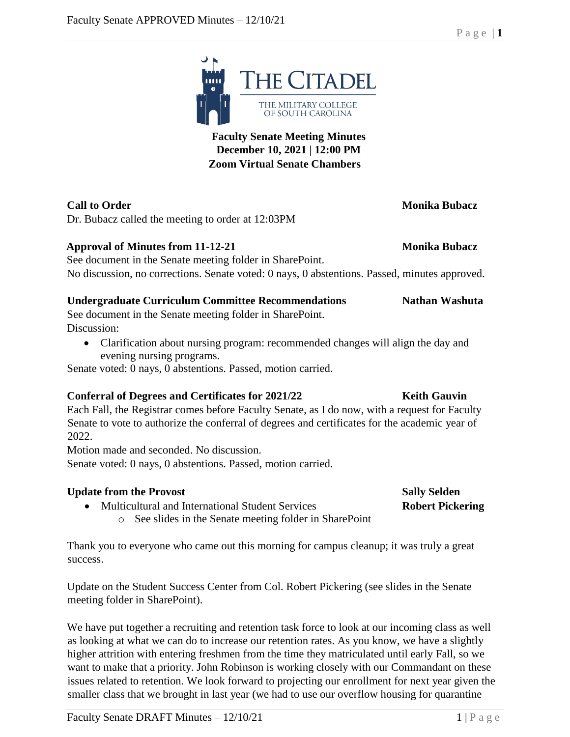

**THE CITADEL** 

THE MILITARY COLLEGE OF SOUTH CAROLINA

## **Call to Order Monika Bubacz**

Dr. Bubacz called the meeting to order at 12:03PM

### **Approval of Minutes from 11-12-21 Monika Bubacz**

See document in the Senate meeting folder in SharePoint. No discussion, no corrections. Senate voted: 0 nays, 0 abstentions. Passed, minutes approved.

### **Undergraduate Curriculum Committee Recommendations Nathan Washuta**

See document in the Senate meeting folder in SharePoint. Discussion:

• Clarification about nursing program: recommended changes will align the day and evening nursing programs.

Senate voted: 0 nays, 0 abstentions. Passed, motion carried.

### **Conferral of Degrees and Certificates for 2021/22 <b>Keith Gauvin**

Each Fall, the Registrar comes before Faculty Senate, as I do now, with a request for Faculty Senate to vote to authorize the conferral of degrees and certificates for the academic year of 2022.

Motion made and seconded. No discussion.

Senate voted: 0 nays, 0 abstentions. Passed, motion carried.

### **Update from the Provost Sally Selden**

- Multicultural and International Student Services **Robert Pickering**
	- o See slides in the Senate meeting folder in SharePoint

Thank you to everyone who came out this morning for campus cleanup; it was truly a great success.

Update on the Student Success Center from Col. Robert Pickering (see slides in the Senate meeting folder in SharePoint).

We have put together a recruiting and retention task force to look at our incoming class as well as looking at what we can do to increase our retention rates. As you know, we have a slightly higher attrition with entering freshmen from the time they matriculated until early Fall, so we want to make that a priority. John Robinson is working closely with our Commandant on these issues related to retention. We look forward to projecting our enrollment for next year given the smaller class that we brought in last year (we had to use our overflow housing for quarantine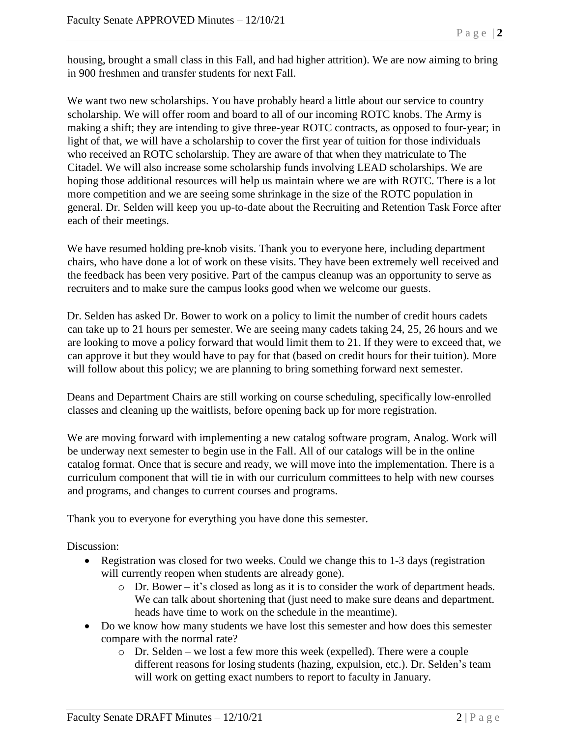housing, brought a small class in this Fall, and had higher attrition). We are now aiming to bring in 900 freshmen and transfer students for next Fall.

We want two new scholarships. You have probably heard a little about our service to country scholarship. We will offer room and board to all of our incoming ROTC knobs. The Army is making a shift; they are intending to give three-year ROTC contracts, as opposed to four-year; in light of that, we will have a scholarship to cover the first year of tuition for those individuals who received an ROTC scholarship. They are aware of that when they matriculate to The Citadel. We will also increase some scholarship funds involving LEAD scholarships. We are hoping those additional resources will help us maintain where we are with ROTC. There is a lot more competition and we are seeing some shrinkage in the size of the ROTC population in general. Dr. Selden will keep you up-to-date about the Recruiting and Retention Task Force after each of their meetings.

We have resumed holding pre-knob visits. Thank you to everyone here, including department chairs, who have done a lot of work on these visits. They have been extremely well received and the feedback has been very positive. Part of the campus cleanup was an opportunity to serve as recruiters and to make sure the campus looks good when we welcome our guests.

Dr. Selden has asked Dr. Bower to work on a policy to limit the number of credit hours cadets can take up to 21 hours per semester. We are seeing many cadets taking 24, 25, 26 hours and we are looking to move a policy forward that would limit them to 21. If they were to exceed that, we can approve it but they would have to pay for that (based on credit hours for their tuition). More will follow about this policy; we are planning to bring something forward next semester.

Deans and Department Chairs are still working on course scheduling, specifically low-enrolled classes and cleaning up the waitlists, before opening back up for more registration.

We are moving forward with implementing a new catalog software program, Analog. Work will be underway next semester to begin use in the Fall. All of our catalogs will be in the online catalog format. Once that is secure and ready, we will move into the implementation. There is a curriculum component that will tie in with our curriculum committees to help with new courses and programs, and changes to current courses and programs.

Thank you to everyone for everything you have done this semester.

Discussion:

- Registration was closed for two weeks. Could we change this to 1-3 days (registration will currently reopen when students are already gone).
	- o Dr. Bower it's closed as long as it is to consider the work of department heads. We can talk about shortening that (just need to make sure deans and department. heads have time to work on the schedule in the meantime).
- Do we know how many students we have lost this semester and how does this semester compare with the normal rate?
	- o Dr. Selden we lost a few more this week (expelled). There were a couple different reasons for losing students (hazing, expulsion, etc.). Dr. Selden's team will work on getting exact numbers to report to faculty in January.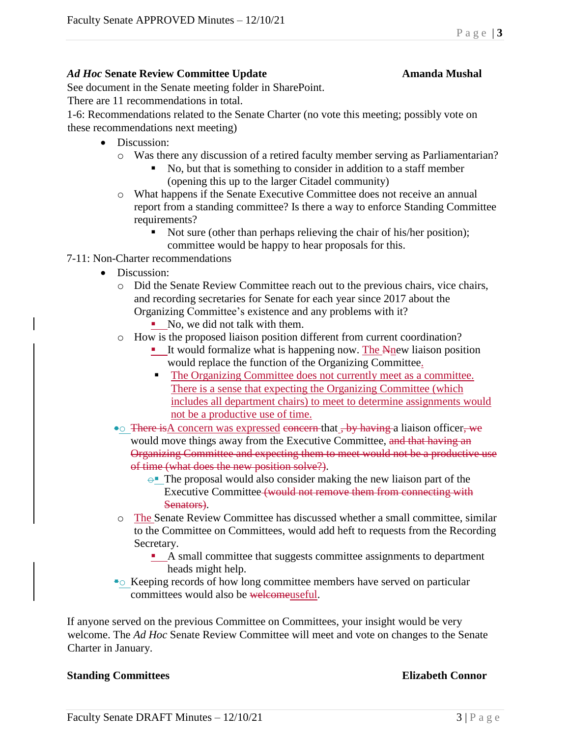### *Ad Hoc* **Senate Review Committee Update Amanda Mushal**

# See document in the Senate meeting folder in SharePoint.

There are 11 recommendations in total.

1-6: Recommendations related to the Senate Charter (no vote this meeting; possibly vote on these recommendations next meeting)

- Discussion:
	- o Was there any discussion of a retired faculty member serving as Parliamentarian?
		- No, but that is something to consider in addition to a staff member (opening this up to the larger Citadel community)
	- o What happens if the Senate Executive Committee does not receive an annual report from a standing committee? Is there a way to enforce Standing Committee requirements?
		- Not sure (other than perhaps relieving the chair of his/her position); committee would be happy to hear proposals for this.
- 7-11: Non-Charter recommendations
	- Discussion:
		- o Did the Senate Review Committee reach out to the previous chairs, vice chairs, and recording secretaries for Senate for each year since 2017 about the Organizing Committee's existence and any problems with it?
			- $\blacksquare$  No, we did not talk with them.
		- o How is the proposed liaison position different from current coordination?
			- It would formalize what is happening now. The Nnew liaison position would replace the function of the Organizing Committee.
				- The Organizing Committee does not currently meet as a committee. There is a sense that expecting the Organizing Committee (which includes all department chairs) to meet to determine assignments would not be a productive use of time.
		- There is A concern was expressed concern that , by having a liaison officer, we would move things away from the Executive Committee, and that having an Organizing Committee and expecting them to meet would not be a productive use of time (what does the new position solve?).
			- $\rightarrow$  The proposal would also consider making the new liaison part of the Executive Committee (would not remove them from connecting with Senators).
		- o The Senate Review Committee has discussed whether a small committee, similar to the Committee on Committees, would add heft to requests from the Recording Secretary.
			- A small committee that suggests committee assignments to department heads might help.
		- Keeping records of how long committee members have served on particular committees would also be welcomeuseful.

If anyone served on the previous Committee on Committees, your insight would be very welcome. The *Ad Hoc* Senate Review Committee will meet and vote on changes to the Senate Charter in January.

### **Standing Committees Elizabeth Connor**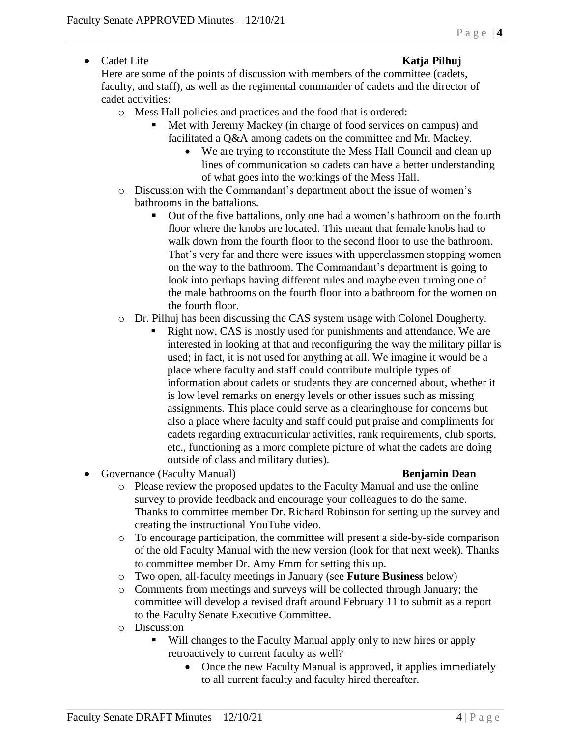• Cadet Life **Katja Pilhuj** 

Here are some of the points of discussion with members of the committee (cadets, faculty, and staff), as well as the regimental commander of cadets and the director of cadet activities:

- o Mess Hall policies and practices and the food that is ordered:
	- Met with Jeremy Mackey (in charge of food services on campus) and facilitated a Q&A among cadets on the committee and Mr. Mackey.
		- We are trying to reconstitute the Mess Hall Council and clean up lines of communication so cadets can have a better understanding of what goes into the workings of the Mess Hall.
- o Discussion with the Commandant's department about the issue of women's bathrooms in the battalions.
	- Out of the five battalions, only one had a women's bathroom on the fourth floor where the knobs are located. This meant that female knobs had to walk down from the fourth floor to the second floor to use the bathroom. That's very far and there were issues with upperclassmen stopping women on the way to the bathroom. The Commandant's department is going to look into perhaps having different rules and maybe even turning one of the male bathrooms on the fourth floor into a bathroom for the women on the fourth floor.
- o Dr. Pilhuj has been discussing the CAS system usage with Colonel Dougherty.
	- Right now, CAS is mostly used for punishments and attendance. We are interested in looking at that and reconfiguring the way the military pillar is used; in fact, it is not used for anything at all. We imagine it would be a place where faculty and staff could contribute multiple types of information about cadets or students they are concerned about, whether it is low level remarks on energy levels or other issues such as missing assignments. This place could serve as a clearinghouse for concerns but also a place where faculty and staff could put praise and compliments for cadets regarding extracurricular activities, rank requirements, club sports, etc., functioning as a more complete picture of what the cadets are doing outside of class and military duties).
- Governance (Faculty Manual) **Benjamin Dean**

- o Please review the proposed updates to the Faculty Manual and use the online survey to provide feedback and encourage your colleagues to do the same. Thanks to committee member Dr. Richard Robinson for setting up the survey and creating the instructional YouTube video.
- o To encourage participation, the committee will present a side-by-side comparison of the old Faculty Manual with the new version (look for that next week). Thanks to committee member Dr. Amy Emm for setting this up.
- o Two open, all-faculty meetings in January (see **Future Business** below)
- o Comments from meetings and surveys will be collected through January; the committee will develop a revised draft around February 11 to submit as a report to the Faculty Senate Executive Committee.
- o Discussion
	- Will changes to the Faculty Manual apply only to new hires or apply retroactively to current faculty as well?
		- Once the new Faculty Manual is approved, it applies immediately to all current faculty and faculty hired thereafter.